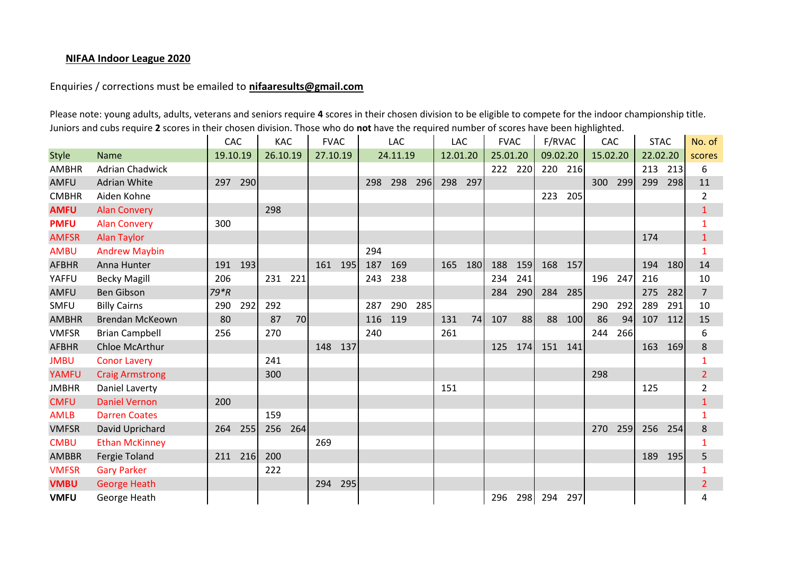## **NIFAA Indoor League 2020**

Enquiries / corrections must be emailed to **nifaaresults@gmail.com**

Please note: young adults, adults, veterans and seniors require **4** scores in their chosen division to be eligible to compete for the indoor championship title. Juniors and cubs require **2** scores in their chosen division. Those who do **not** have the required number of scores have been highlighted.

|              |                        | CAC      |     | <b>KAC</b> |     | <b>FVAC</b> |     | LAC      |     | LAC      |     | <b>FVAC</b> |     | F/RVAC   |     | CAC      |     | <b>STAC</b> |     | No. of |                |
|--------------|------------------------|----------|-----|------------|-----|-------------|-----|----------|-----|----------|-----|-------------|-----|----------|-----|----------|-----|-------------|-----|--------|----------------|
| <b>Style</b> | <b>Name</b>            | 19.10.19 |     | 26.10.19   |     | 27.10.19    |     | 24.11.19 |     | 12.01.20 |     | 25.01.20    |     | 09.02.20 |     | 15.02.20 |     | 22.02.20    |     | scores |                |
| <b>AMBHR</b> | <b>Adrian Chadwick</b> |          |     |            |     |             |     |          |     |          |     |             | 222 | 220      | 220 | 216      |     |             | 213 | 213    | 6              |
| AMFU         | Adrian White           | 297      | 290 |            |     |             |     | 298      | 298 | 296      | 298 | 297         |     |          |     |          | 300 | 299         | 299 | 298    | 11             |
| <b>CMBHR</b> | Aiden Kohne            |          |     |            |     |             |     |          |     |          |     |             |     |          | 223 | 205      |     |             |     |        | 2              |
| <b>AMFU</b>  | <b>Alan Convery</b>    |          |     | 298        |     |             |     |          |     |          |     |             |     |          |     |          |     |             |     |        | $\mathbf{1}$   |
| <b>PMFU</b>  | <b>Alan Convery</b>    | 300      |     |            |     |             |     |          |     |          |     |             |     |          |     |          |     |             |     |        | $\mathbf{1}$   |
| <b>AMFSR</b> | <b>Alan Taylor</b>     |          |     |            |     |             |     |          |     |          |     |             |     |          |     |          |     |             | 174 |        | $\mathbf{1}$   |
| <b>AMBU</b>  | <b>Andrew Maybin</b>   |          |     |            |     |             |     | 294      |     |          |     |             |     |          |     |          |     |             |     |        |                |
| <b>AFBHR</b> | Anna Hunter            | 191      | 193 |            |     | 161         | 195 | 187      | 169 |          | 165 | 180         | 188 | 159      | 168 | 157      |     |             | 194 | 180    | 14             |
| YAFFU        | <b>Becky Magill</b>    | 206      |     | 231        | 221 |             |     | 243      | 238 |          |     |             | 234 | 241      |     |          | 196 | 247         | 216 |        | 10             |
| AMFU         | <b>Ben Gibson</b>      | $79*R$   |     |            |     |             |     |          |     |          |     |             | 284 | 290      | 284 | 285      |     |             | 275 | 282    | $\overline{7}$ |
| <b>SMFU</b>  | <b>Billy Cairns</b>    | 290      | 292 | 292        |     |             |     | 287      | 290 | 285      |     |             |     |          |     |          | 290 | 292         | 289 | 291    | 10             |
| <b>AMBHR</b> | <b>Brendan McKeown</b> | 80       |     | 87         | 70  |             |     | 116      | 119 |          | 131 | 74          | 107 | 88       | 88  | 100      | 86  | 94          | 107 | 112    | 15             |
| <b>VMFSR</b> | <b>Brian Campbell</b>  | 256      |     | 270        |     |             |     | 240      |     |          | 261 |             |     |          |     |          | 244 | 266         |     |        | 6              |
| <b>AFBHR</b> | <b>Chloe McArthur</b>  |          |     |            |     | 148         | 137 |          |     |          |     |             | 125 | 174      | 151 | 141      |     |             | 163 | 169    | 8              |
| <b>JMBU</b>  | <b>Conor Lavery</b>    |          |     | 241        |     |             |     |          |     |          |     |             |     |          |     |          |     |             |     |        | 1              |
| <b>YAMFU</b> | <b>Craig Armstrong</b> |          |     | 300        |     |             |     |          |     |          |     |             |     |          |     |          | 298 |             |     |        | $\overline{2}$ |
| <b>JMBHR</b> | Daniel Laverty         |          |     |            |     |             |     |          |     |          | 151 |             |     |          |     |          |     |             | 125 |        | 2              |
| <b>CMFU</b>  | <b>Daniel Vernon</b>   | 200      |     |            |     |             |     |          |     |          |     |             |     |          |     |          |     |             |     |        | $\mathbf{1}$   |
| <b>AMLB</b>  | <b>Darren Coates</b>   |          |     | 159        |     |             |     |          |     |          |     |             |     |          |     |          |     |             |     |        | 1              |
| <b>VMFSR</b> | David Uprichard        | 264      | 255 | 256        | 264 |             |     |          |     |          |     |             |     |          |     |          | 270 | 259         | 256 | 254    | $\,8\,$        |
| <b>CMBU</b>  | <b>Ethan McKinney</b>  |          |     |            |     | 269         |     |          |     |          |     |             |     |          |     |          |     |             |     |        |                |
| <b>AMBBR</b> | Fergie Toland          | 211      | 216 | 200        |     |             |     |          |     |          |     |             |     |          |     |          |     |             | 189 | 195    | 5              |
| <b>VMFSR</b> | <b>Gary Parker</b>     |          |     | 222        |     |             |     |          |     |          |     |             |     |          |     |          |     |             |     |        | 1              |
| <b>VMBU</b>  | <b>George Heath</b>    |          |     |            |     | 294         | 295 |          |     |          |     |             |     |          |     |          |     |             |     |        | $\overline{2}$ |
| <b>VMFU</b>  | George Heath           |          |     |            |     |             |     |          |     |          |     |             | 296 | 298      | 294 | 297      |     |             |     |        | 4              |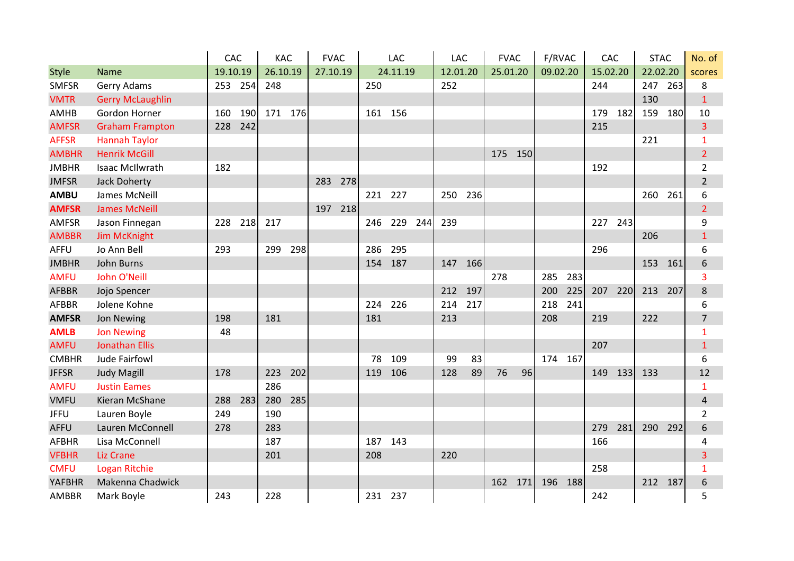|               |                         | CAC      |     | KAC |          | <b>FVAC</b> |          |          | LAC     |     | LAC      |     | <b>FVAC</b> |     | F/RVAC   |     | CAC      |     | <b>STAC</b> |     | No. of         |  |
|---------------|-------------------------|----------|-----|-----|----------|-------------|----------|----------|---------|-----|----------|-----|-------------|-----|----------|-----|----------|-----|-------------|-----|----------------|--|
| <b>Style</b>  | Name                    | 19.10.19 |     |     | 26.10.19 |             | 27.10.19 | 24.11.19 |         |     | 12.01.20 |     | 25.01.20    |     | 09.02.20 |     | 15.02.20 |     | 22.02.20    |     | scores         |  |
| <b>SMFSR</b>  | <b>Gerry Adams</b>      | 253      | 254 | 248 |          |             |          | 250      |         |     | 252      |     |             |     |          |     | 244      |     | 247         | 263 | 8              |  |
| <b>VMTR</b>   | <b>Gerry McLaughlin</b> |          |     |     |          |             |          |          |         |     |          |     |             |     |          |     |          |     | 130         |     | $\mathbf{1}$   |  |
| AMHB          | Gordon Horner           | 160      | 190 | 171 | 176      |             |          |          | 161 156 |     |          |     |             |     |          |     | 179      | 182 | 159         | 180 | 10             |  |
| <b>AMFSR</b>  | <b>Graham Frampton</b>  | 228      | 242 |     |          |             |          |          |         |     |          |     |             |     |          |     | 215      |     |             |     | $\overline{3}$ |  |
| <b>AFFSR</b>  | <b>Hannah Taylor</b>    |          |     |     |          |             |          |          |         |     |          |     |             |     |          |     |          |     | 221         |     | $\mathbf{1}$   |  |
| <b>AMBHR</b>  | <b>Henrik McGill</b>    |          |     |     |          |             |          |          |         |     |          |     | 175         | 150 |          |     |          |     |             |     | $\overline{2}$ |  |
| <b>JMBHR</b>  | <b>Isaac McIlwrath</b>  | 182      |     |     |          |             |          |          |         |     |          |     |             |     |          |     | 192      |     |             |     | $\overline{2}$ |  |
| <b>JMFSR</b>  | <b>Jack Doherty</b>     |          |     |     |          | 283         | 278      |          |         |     |          |     |             |     |          |     |          |     |             |     | $\overline{2}$ |  |
| <b>AMBU</b>   | James McNeill           |          |     |     |          |             |          | 221 227  |         |     | 250      | 236 |             |     |          |     |          |     | 260         | 261 | 6              |  |
| <b>AMFSR</b>  | <b>James McNeill</b>    |          |     |     |          | 197 218     |          |          |         |     |          |     |             |     |          |     |          |     |             |     | $\overline{2}$ |  |
| <b>AMFSR</b>  | Jason Finnegan          | 228      | 218 | 217 |          |             |          |          | 246 229 | 244 | 239      |     |             |     |          |     | 227      | 243 |             |     | 9              |  |
| <b>AMBBR</b>  | <b>Jim McKnight</b>     |          |     |     |          |             |          |          |         |     |          |     |             |     |          |     |          |     | 206         |     | $\mathbf{1}$   |  |
| <b>AFFU</b>   | Jo Ann Bell             | 293      |     | 299 | 298      |             |          | 286      | 295     |     |          |     |             |     |          |     | 296      |     |             |     | 6              |  |
| <b>JMBHR</b>  | John Burns              |          |     |     |          |             |          | 154      | 187     |     | 147      | 166 |             |     |          |     |          |     | 153         | 161 | 6              |  |
| <b>AMFU</b>   | John O'Neill            |          |     |     |          |             |          |          |         |     |          |     | 278         |     | 285      | 283 |          |     |             |     | 3              |  |
| <b>AFBBR</b>  | Jojo Spencer            |          |     |     |          |             |          |          |         |     | 212      | 197 |             |     | 200      | 225 | 207      | 220 | 213         | 207 | 8              |  |
| <b>AFBBR</b>  | Jolene Kohne            |          |     |     |          |             |          | 224      | 226     |     | 214      | 217 |             |     | 218      | 241 |          |     |             |     | 6              |  |
| <b>AMFSR</b>  | Jon Newing              | 198      |     | 181 |          |             |          | 181      |         |     | 213      |     |             |     | 208      |     | 219      |     | 222         |     | $\overline{7}$ |  |
| <b>AMLB</b>   | <b>Jon Newing</b>       | 48       |     |     |          |             |          |          |         |     |          |     |             |     |          |     |          |     |             |     | $\mathbf{1}$   |  |
| <b>AMFU</b>   | <b>Jonathan Ellis</b>   |          |     |     |          |             |          |          |         |     |          |     |             |     |          |     | 207      |     |             |     | $\mathbf{1}$   |  |
| <b>CMBHR</b>  | Jude Fairfowl           |          |     |     |          |             |          | 78       | 109     |     | 99       | 83  |             |     | 174 167  |     |          |     |             |     | 6              |  |
| <b>JFFSR</b>  | <b>Judy Magill</b>      | 178      |     | 223 | 202      |             |          | 119      | 106     |     | 128      | 89  | 76          | 96  |          |     | 149      | 133 | 133         |     | 12             |  |
| <b>AMFU</b>   | <b>Justin Eames</b>     |          |     | 286 |          |             |          |          |         |     |          |     |             |     |          |     |          |     |             |     | $\mathbf{1}$   |  |
| <b>VMFU</b>   | Kieran McShane          | 288      | 283 | 280 | 285      |             |          |          |         |     |          |     |             |     |          |     |          |     |             |     | 4              |  |
| <b>JFFU</b>   | Lauren Boyle            | 249      |     | 190 |          |             |          |          |         |     |          |     |             |     |          |     |          |     |             |     | $\overline{2}$ |  |
| <b>AFFU</b>   | Lauren McConnell        | 278      |     | 283 |          |             |          |          |         |     |          |     |             |     |          |     | 279      | 281 | 290         | 292 | 6              |  |
| <b>AFBHR</b>  | Lisa McConnell          |          |     | 187 |          |             |          | 187      | 143     |     |          |     |             |     |          |     | 166      |     |             |     | 4              |  |
| <b>VFBHR</b>  | <b>Liz Crane</b>        |          |     | 201 |          |             |          | 208      |         |     | 220      |     |             |     |          |     |          |     |             |     | 3              |  |
| <b>CMFU</b>   | <b>Logan Ritchie</b>    |          |     |     |          |             |          |          |         |     |          |     |             |     |          |     | 258      |     |             |     | $\mathbf{1}$   |  |
| <b>YAFBHR</b> | Makenna Chadwick        |          |     |     |          |             |          |          |         |     |          |     | 162         | 171 | 196      | 188 |          |     | 212         | 187 | 6              |  |
| <b>AMBBR</b>  | Mark Boyle              | 243      |     | 228 |          |             |          | 231 237  |         |     |          |     |             |     |          |     | 242      |     |             |     | 5              |  |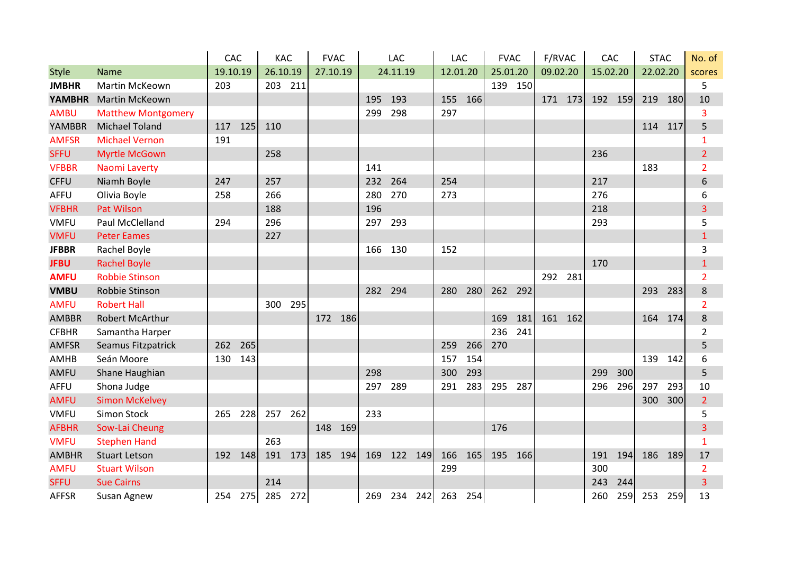|               |                           | CAC        | <b>KAC</b> |     | <b>FVAC</b> |     | LAC |          | LAC |          | <b>FVAC</b> |          | F/RVAC |          | CAC |          | <b>STAC</b> |          | No. of |                |  |
|---------------|---------------------------|------------|------------|-----|-------------|-----|-----|----------|-----|----------|-------------|----------|--------|----------|-----|----------|-------------|----------|--------|----------------|--|
| <b>Style</b>  | <b>Name</b>               | 19.10.19   | 26.10.19   |     | 27.10.19    |     |     | 24.11.19 |     | 12.01.20 |             | 25.01.20 |        | 09.02.20 |     | 15.02.20 |             | 22.02.20 |        | scores         |  |
| <b>JMBHR</b>  | Martin McKeown            | 203        | 203        | 211 |             |     |     |          |     |          |             | 139 150  |        |          |     |          |             |          |        | 5              |  |
| <b>YAMBHR</b> | <b>Martin McKeown</b>     |            |            |     |             |     | 195 | 193      |     | 155      | 166         |          |        | 171 173  |     |          | 192 159     | 219      | 180    | 10             |  |
| <b>AMBU</b>   | <b>Matthew Montgomery</b> |            |            |     |             |     | 299 | 298      |     | 297      |             |          |        |          |     |          |             |          |        | 3              |  |
| <b>YAMBBR</b> | <b>Michael Toland</b>     | 125<br>117 | 110        |     |             |     |     |          |     |          |             |          |        |          |     |          |             | 114      | 117    | 5              |  |
| <b>AMFSR</b>  | <b>Michael Vernon</b>     | 191        |            |     |             |     |     |          |     |          |             |          |        |          |     |          |             |          |        | $\mathbf{1}$   |  |
| <b>SFFU</b>   | <b>Myrtle McGown</b>      |            | 258        |     |             |     |     |          |     |          |             |          |        |          |     | 236      |             |          |        | $\overline{2}$ |  |
| <b>VFBBR</b>  | Naomi Laverty             |            |            |     |             |     | 141 |          |     |          |             |          |        |          |     |          |             | 183      |        | $\overline{2}$ |  |
| <b>CFFU</b>   | Niamh Boyle               | 247        | 257        |     |             |     | 232 | 264      |     | 254      |             |          |        |          |     | 217      |             |          |        | 6              |  |
| <b>AFFU</b>   | Olivia Boyle              | 258        | 266        |     |             |     | 280 | 270      |     | 273      |             |          |        |          |     | 276      |             |          |        | 6              |  |
| <b>VFBHR</b>  | <b>Pat Wilson</b>         |            | 188        |     |             |     | 196 |          |     |          |             |          |        |          |     | 218      |             |          |        | 3              |  |
| <b>VMFU</b>   | Paul McClelland           | 294        | 296        |     |             |     | 297 | 293      |     |          |             |          |        |          |     | 293      |             |          |        | 5              |  |
| <b>VMFU</b>   | <b>Peter Eames</b>        |            | 227        |     |             |     |     |          |     |          |             |          |        |          |     |          |             |          |        | $\mathbf{1}$   |  |
| <b>JFBBR</b>  | Rachel Boyle              |            |            |     |             |     | 166 | 130      |     | 152      |             |          |        |          |     |          |             |          |        | 3              |  |
| <b>JFBU</b>   | <b>Rachel Boyle</b>       |            |            |     |             |     |     |          |     |          |             |          |        |          |     | 170      |             |          |        | $\mathbf 1$    |  |
| <b>AMFU</b>   | <b>Robbie Stinson</b>     |            |            |     |             |     |     |          |     |          |             |          |        | 292 281  |     |          |             |          |        | $\overline{2}$ |  |
| <b>VMBU</b>   | Robbie Stinson            |            |            |     |             |     | 282 | 294      |     | 280      | 280         | 262      | 292    |          |     |          |             | 293      | 283    | 8              |  |
| <b>AMFU</b>   | <b>Robert Hall</b>        |            | 300        | 295 |             |     |     |          |     |          |             |          |        |          |     |          |             |          |        | $\overline{2}$ |  |
| <b>AMBBR</b>  | <b>Robert McArthur</b>    |            |            |     | 172         | 186 |     |          |     |          |             | 169      | 181    | 161      | 162 |          |             | 164      | 174    | 8              |  |
| <b>CFBHR</b>  | Samantha Harper           |            |            |     |             |     |     |          |     |          |             | 236      | 241    |          |     |          |             |          |        | $\overline{2}$ |  |
| <b>AMFSR</b>  | Seamus Fitzpatrick        | 265<br>262 |            |     |             |     |     |          |     | 259      | 266         | 270      |        |          |     |          |             |          |        | 5              |  |
| AMHB          | Seán Moore                | 143<br>130 |            |     |             |     |     |          |     | 157      | 154         |          |        |          |     |          |             | 139      | 142    | 6              |  |
| AMFU          | Shane Haughian            |            |            |     |             |     | 298 |          |     | 300      | 293         |          |        |          |     | 299      | 300         |          |        | 5              |  |
| AFFU          | Shona Judge               |            |            |     |             |     | 297 | 289      |     | 291      | 283         | 295      | 287    |          |     | 296      | 296         | 297      | 293    | 10             |  |
| <b>AMFU</b>   | <b>Simon McKelvey</b>     |            |            |     |             |     |     |          |     |          |             |          |        |          |     |          |             | 300      | 300    | $\overline{2}$ |  |
| <b>VMFU</b>   | <b>Simon Stock</b>        | 228<br>265 | 257        | 262 |             |     | 233 |          |     |          |             |          |        |          |     |          |             |          |        | 5              |  |
| <b>AFBHR</b>  | Sow-Lai Cheung            |            |            |     | 148         | 169 |     |          |     |          |             | 176      |        |          |     |          |             |          |        | $\overline{3}$ |  |
| <b>VMFU</b>   | <b>Stephen Hand</b>       |            | 263        |     |             |     |     |          |     |          |             |          |        |          |     |          |             |          |        | $\mathbf{1}$   |  |
| <b>AMBHR</b>  | <b>Stuart Letson</b>      | 192<br>148 | 191        | 173 | 185         | 194 | 169 | 122      | 149 | 166      | 165         | 195      | 166    |          |     | 191      | 194         | 186      | 189    | 17             |  |
| <b>AMFU</b>   | <b>Stuart Wilson</b>      |            |            |     |             |     |     |          |     | 299      |             |          |        |          |     | 300      |             |          |        | $\overline{2}$ |  |
| <b>SFFU</b>   | <b>Sue Cairns</b>         |            | 214        |     |             |     |     |          |     |          |             |          |        |          |     | 243      | 244         |          |        | 3              |  |
| <b>AFFSR</b>  | Susan Agnew               | 254<br>275 | 285        | 272 |             |     | 269 | 234      | 242 | 263      | 254         |          |        |          |     | 260      | 259         | 253      | 259    | 13             |  |